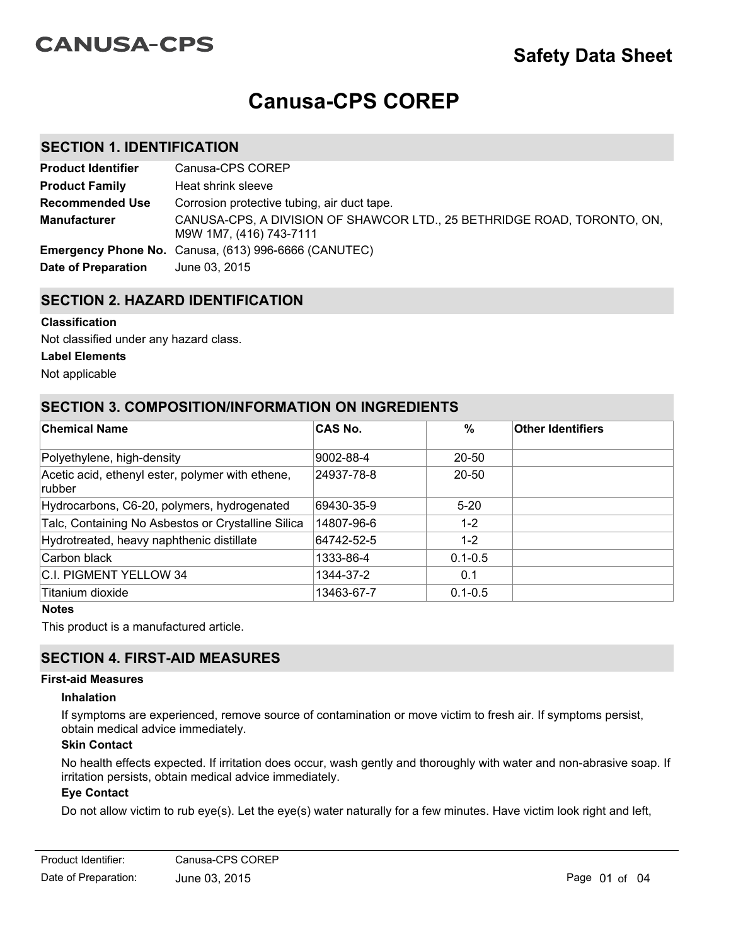# **CANUSA-CPS**

# **Canusa-CPS COREP**

## **SECTION 1. IDENTIFICATION**

| <b>Product Identifier</b> | Canusa-CPS COREP                                                                                   |
|---------------------------|----------------------------------------------------------------------------------------------------|
| <b>Product Family</b>     | Heat shrink sleeve                                                                                 |
| <b>Recommended Use</b>    | Corrosion protective tubing, air duct tape.                                                        |
| <b>Manufacturer</b>       | CANUSA-CPS, A DIVISION OF SHAWCOR LTD., 25 BETHRIDGE ROAD, TORONTO, ON,<br>M9W 1M7, (416) 743-7111 |
|                           | <b>Emergency Phone No.</b> Canusa, (613) 996-6666 (CANUTEC)                                        |
| Date of Preparation       | June 03, 2015                                                                                      |

## **SECTION 2. HAZARD IDENTIFICATION**

#### **Classification**

Not classified under any hazard class.

#### **Label Elements**

Not applicable

## **SECTION 3. COMPOSITION/INFORMATION ON INGREDIENTS**

| <b>Chemical Name</b>                                              | <b>CAS No.</b> | $\%$        | Other Identifiers |
|-------------------------------------------------------------------|----------------|-------------|-------------------|
| Polyethylene, high-density                                        | 9002-88-4      | 20-50       |                   |
| Acetic acid, ethenyl ester, polymer with ethene,<br><b>rubber</b> | 24937-78-8     | $20 - 50$   |                   |
| Hydrocarbons, C6-20, polymers, hydrogenated                       | 69430-35-9     | $5 - 20$    |                   |
| Talc, Containing No Asbestos or Crystalline Silica                | 14807-96-6     | $1 - 2$     |                   |
| Hydrotreated, heavy naphthenic distillate                         | 64742-52-5     | $1 - 2$     |                   |
| Carbon black                                                      | 1333-86-4      | $0.1 - 0.5$ |                   |
| C.I. PIGMENT YELLOW 34                                            | 1344-37-2      | 0.1         |                   |
| ∣Titanium dioxide                                                 | 13463-67-7     | $0.1 - 0.5$ |                   |

#### **Notes**

This product is a manufactured article.

## **SECTION 4. FIRST-AID MEASURES**

#### **First-aid Measures**

#### **Inhalation**

If symptoms are experienced, remove source of contamination or move victim to fresh air. If symptoms persist, obtain medical advice immediately.

#### **Skin Contact**

No health effects expected. If irritation does occur, wash gently and thoroughly with water and non-abrasive soap. If irritation persists, obtain medical advice immediately.

#### **Eye Contact**

Do not allow victim to rub eye(s). Let the eye(s) water naturally for a few minutes. Have victim look right and left,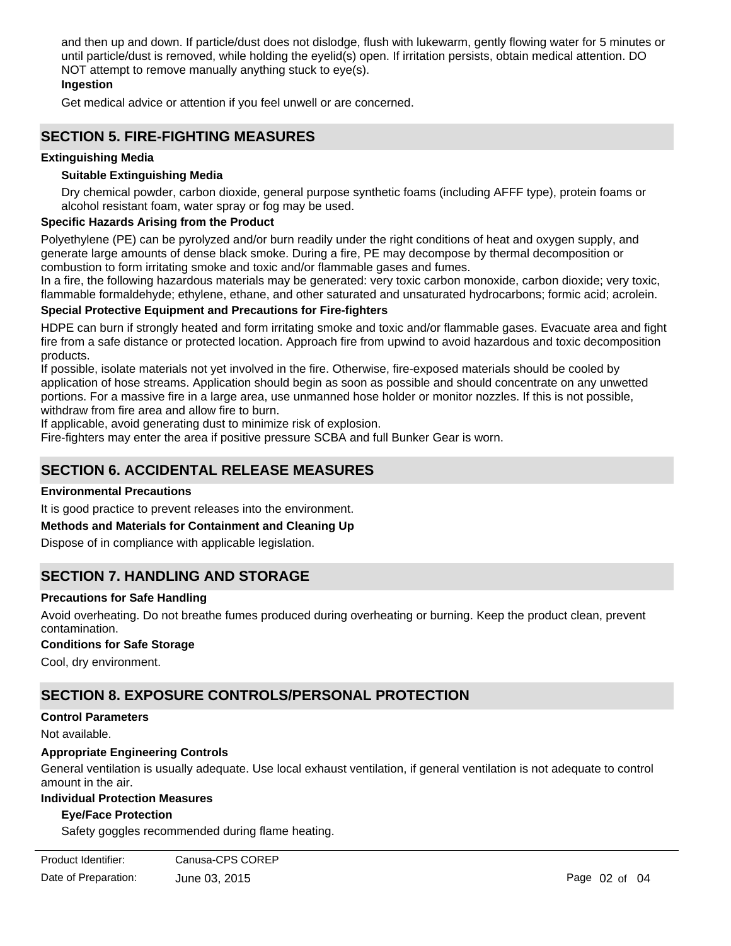and then up and down. If particle/dust does not dislodge, flush with lukewarm, gently flowing water for 5 minutes or until particle/dust is removed, while holding the eyelid(s) open. If irritation persists, obtain medical attention. DO NOT attempt to remove manually anything stuck to eye(s).

#### **Ingestion**

Get medical advice or attention if you feel unwell or are concerned.

## **SECTION 5. FIRE-FIGHTING MEASURES**

#### **Extinguishing Media**

#### **Suitable Extinguishing Media**

Dry chemical powder, carbon dioxide, general purpose synthetic foams (including AFFF type), protein foams or alcohol resistant foam, water spray or fog may be used.

#### **Specific Hazards Arising from the Product**

Polyethylene (PE) can be pyrolyzed and/or burn readily under the right conditions of heat and oxygen supply, and generate large amounts of dense black smoke. During a fire, PE may decompose by thermal decomposition or combustion to form irritating smoke and toxic and/or flammable gases and fumes.

In a fire, the following hazardous materials may be generated: very toxic carbon monoxide, carbon dioxide; very toxic, flammable formaldehyde; ethylene, ethane, and other saturated and unsaturated hydrocarbons; formic acid; acrolein.

#### **Special Protective Equipment and Precautions for Fire-fighters**

HDPE can burn if strongly heated and form irritating smoke and toxic and/or flammable gases. Evacuate area and fight fire from a safe distance or protected location. Approach fire from upwind to avoid hazardous and toxic decomposition products.

If possible, isolate materials not yet involved in the fire. Otherwise, fire-exposed materials should be cooled by application of hose streams. Application should begin as soon as possible and should concentrate on any unwetted portions. For a massive fire in a large area, use unmanned hose holder or monitor nozzles. If this is not possible, withdraw from fire area and allow fire to burn.

If applicable, avoid generating dust to minimize risk of explosion.

Fire-fighters may enter the area if positive pressure SCBA and full Bunker Gear is worn.

## **SECTION 6. ACCIDENTAL RELEASE MEASURES**

#### **Environmental Precautions**

It is good practice to prevent releases into the environment.

#### **Methods and Materials for Containment and Cleaning Up**

Dispose of in compliance with applicable legislation.

## **SECTION 7. HANDLING AND STORAGE**

#### **Precautions for Safe Handling**

Avoid overheating. Do not breathe fumes produced during overheating or burning. Keep the product clean, prevent contamination.

#### **Conditions for Safe Storage**

Cool, dry environment.

## **SECTION 8. EXPOSURE CONTROLS/PERSONAL PROTECTION**

#### **Control Parameters**

Not available.

#### **Appropriate Engineering Controls**

General ventilation is usually adequate. Use local exhaust ventilation, if general ventilation is not adequate to control amount in the air.

#### **Individual Protection Measures**

#### **Eye/Face Protection**

Safety goggles recommended during flame heating.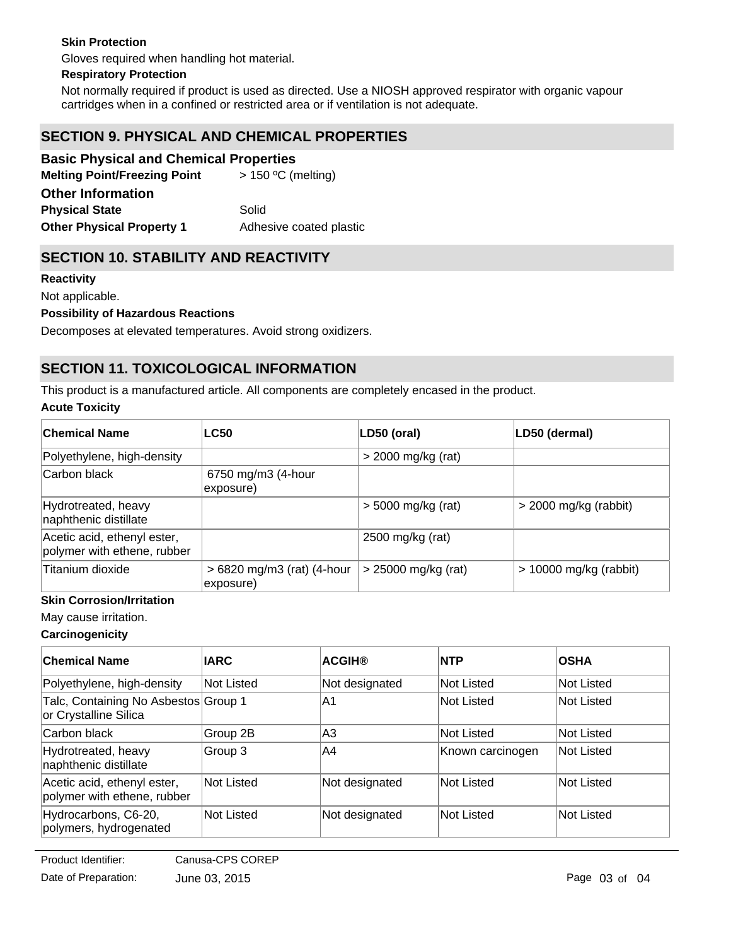### **Skin Protection**

Gloves required when handling hot material.

#### **Respiratory Protection**

Not normally required if product is used as directed. Use a NIOSH approved respirator with organic vapour cartridges when in a confined or restricted area or if ventilation is not adequate.

# **SECTION 9. PHYSICAL AND CHEMICAL PROPERTIES**

## **Basic Physical and Chemical Properties**

| <b>Melting Point/Freezing Point</b> | $>$ 150 °C (melting)    |
|-------------------------------------|-------------------------|
| <b>Other Information</b>            |                         |
| <b>Physical State</b>               | Solid                   |
| <b>Other Physical Property 1</b>    | Adhesive coated plastic |

## **SECTION 10. STABILITY AND REACTIVITY**

#### **Reactivity**

#### Not applicable.

#### **Possibility of Hazardous Reactions**

Decomposes at elevated temperatures. Avoid strong oxidizers.

# **SECTION 11. TOXICOLOGICAL INFORMATION**

This product is a manufactured article. All components are completely encased in the product.

#### **Acute Toxicity**

| <b>Chemical Name</b>                                       | <b>LC50</b>                             | LD50 (oral)           | LD50 (dermal)            |
|------------------------------------------------------------|-----------------------------------------|-----------------------|--------------------------|
| Polyethylene, high-density                                 |                                         | $>$ 2000 mg/kg (rat)  |                          |
| Carbon black                                               | 6750 mg/m3 (4-hour<br>exposure)         |                       |                          |
| Hydrotreated, heavy<br>naphthenic distillate               |                                         | $>$ 5000 mg/kg (rat)  | $>$ 2000 mg/kg (rabbit)  |
| Acetic acid, ethenyl ester,<br>polymer with ethene, rubber |                                         | 2500 mg/kg (rat)      |                          |
| Titanium dioxide                                           | > 6820 mg/m3 (rat) (4-hour<br>exposure) | $>$ 25000 mg/kg (rat) | $> 10000$ mg/kg (rabbit) |

#### **Skin Corrosion/Irritation**

May cause irritation.

### **Carcinogenicity**

| <b>Chemical Name</b>                                          | <b>IARC</b> | <b>ACGIH®</b>  | <b>INTP</b>      | <b>OSHA</b> |
|---------------------------------------------------------------|-------------|----------------|------------------|-------------|
| Polyethylene, high-density                                    | Not Listed  | Not designated | Not Listed       | Not Listed  |
| Talc, Containing No Asbestos Group 1<br>or Crystalline Silica |             | IA1            | Not Listed       | Not Listed  |
| Carbon black                                                  | Group 2B    | IA3            | Not Listed       | Not Listed  |
| Hydrotreated, heavy<br>naphthenic distillate                  | Group 3     | IA4            | Known carcinogen | Not Listed  |
| Acetic acid, ethenyl ester,<br>polymer with ethene, rubber    | Not Listed  | Not designated | Not Listed       | Not Listed  |
| Hydrocarbons, C6-20,<br>polymers, hydrogenated                | Not Listed  | Not designated | Not Listed       | Not Listed  |